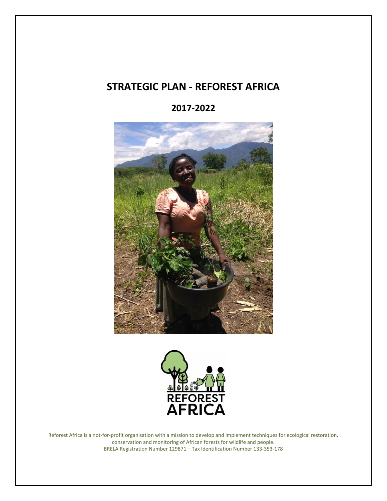## **STRATEGIC PLAN - REFOREST AFRICA**

**2017-2022**





Reforest Africa is a not-for-profit organisation with a mission to develop and implement techniques for ecological restoration, conservation and monitoring of African forests for wildlife and people. BRELA Registration Number 129871 – Tax Identification Number 133-353-178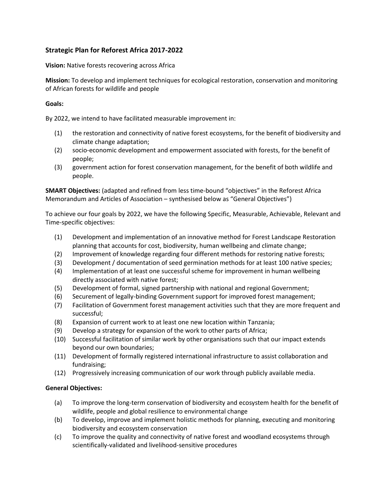## **Strategic Plan for Reforest Africa 2017-2022**

**Vision:** Native forests recovering across Africa

**Mission:** To develop and implement techniques for ecological restoration, conservation and monitoring of African forests for wildlife and people

## **Goals:**

By 2022, we intend to have facilitated measurable improvement in:

- (1) the restoration and connectivity of native forest ecosystems, for the benefit of biodiversity and climate change adaptation;
- (2) socio-economic development and empowerment associated with forests, for the benefit of people;
- (3) government action for forest conservation management, for the benefit of both wildlife and people.

**SMART Objectives:** (adapted and refined from less time-bound "objectives" in the Reforest Africa Memorandum and Articles of Association – synthesised below as "General Objectives")

To achieve our four goals by 2022, we have the following Specific, Measurable, Achievable, Relevant and Time-specific objectives:

- (1) Development and implementation of an innovative method for Forest Landscape Restoration planning that accounts for cost, biodiversity, human wellbeing and climate change;
- (2) Improvement of knowledge regarding four different methods for restoring native forests;
- (3) Development / documentation of seed germination methods for at least 100 native species;
- (4) Implementation of at least one successful scheme for improvement in human wellbeing directly associated with native forest;
- (5) Development of formal, signed partnership with national and regional Government;
- (6) Securement of legally-binding Government support for improved forest management;
- (7) Facilitation of Government forest management activities such that they are more frequent and successful;
- (8) Expansion of current work to at least one new location within Tanzania;
- (9) Develop a strategy for expansion of the work to other parts of Africa;
- (10) Successful facilitation of similar work by other organisations such that our impact extends beyond our own boundaries;
- (11) Development of formally registered international infrastructure to assist collaboration and fundraising;
- (12) Progressively increasing communication of our work through publicly available media.

## **General Objectives:**

- (a) To improve the long-term conservation of biodiversity and ecosystem health for the benefit of wildlife, people and global resilience to environmental change
- (b) To develop, improve and implement holistic methods for planning, executing and monitoring biodiversity and ecosystem conservation
- (c) To improve the quality and connectivity of native forest and woodland ecosystems through scientifically-validated and livelihood-sensitive procedures